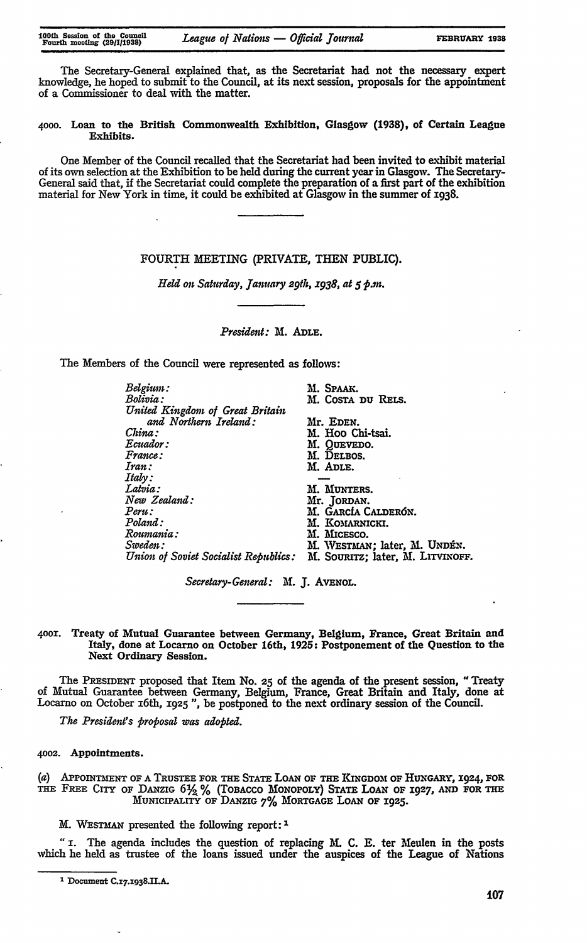The Secretary-General explained that, as the Secretariat had not the necessary expert knowledge, he hoped to submit to the Council, at its next session, proposals for the appointment of a Commissioner to deal with the matter.

**4ooo.** Loan to the British Commonwealth Exhibition, Glasgow **(1938),** of Certain League Exhibits.

One Member of the Council recalled that the Secretariat had been invited to exhibit material of its own selection at the Exhibition to be held during the current year in Glasgow. The Secretary-General said that, if the Secretariat could complete the preparation of a **first** part of the exhibition material for New York in time, it could be exhibited at Glasgow in the summer of 1938.

## FOURTH MEETING (PRIVATE, THEN PUBLIC).

*Held on Saturday, January 29th, x938, at 5 P.m.*

*President:* M. **ADLE.**

The Members of the Council were represented as **follows:**

| M. Spaak.                                                               |
|-------------------------------------------------------------------------|
| M. Costa du Rels.                                                       |
|                                                                         |
| Mr. Eden.                                                               |
| M. Hoo Chi-tsai.                                                        |
| M. QUEVEDO.                                                             |
| M. DELBOS.                                                              |
| M. ADLE.                                                                |
|                                                                         |
| M. MUNTERS.                                                             |
| Mr. JORDAN.                                                             |
| M. García Calderón.                                                     |
| M. KOMARNICKI.                                                          |
| M. MICESCO.                                                             |
| M. WESTMAN; later, M. UNDÉN.                                            |
| Union of Soviet Socialist Republics:<br>M. SOURITZ; later, M. LITVINOFE |
|                                                                         |

*Secretary-General:* **M. J.** AVENOL.

**4OO.** Treaty of Mutual Guarantee between Germany, Belgium, France, Great Britain and Italy, done at Locarno on October 16th, **1925:** Postponement of the Question to the Next Ordinary Session.

The **PREsIDENT** proposed that Item No. **25** of the agenda of the present session, **"** Treaty of Mutual Guarantee between Germany, Belgium, France, Great Britain and Italy, done at Locarno on October 16th, z925 *",* be postponed to the next ordinary session of the Council.

*The President's proposal was adopted.*

**4002. Appointments.**

**(a) APoImmNT OF A TRusTEE FOR THE STATE** LOAN OF **THE** KNGDOM OF HUNGARY, **1924, FOR TH FREE CITY** OF **DANZIG 6Ya** % (TOBACCO MONOPOLY) **STATE** LOAN OF 1927, *Ai* **FOR THE M NicIPALITY oF DANZIG** 7% MORTGAGE LOAN **OF 1925.**

M. **WEsTmAN** presented the following report: **I**

*"* . The agenda includes the question of replacing **M. C. E.** ter Meulen in the posts which he held as trustee of the loans issued under the auspices of the League of Nations

**I Document C.z <sup>7</sup> .z938.UI.A.**